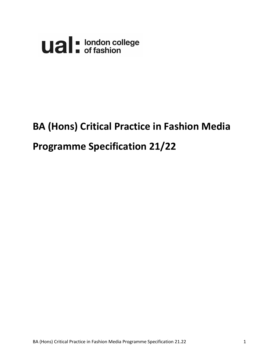

# **BA (Hons) Critical Practice in Fashion Media**

# **Programme Specification 21/22**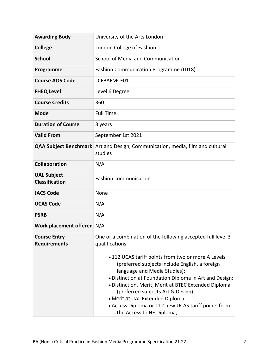| <b>Awarding Body</b>                        | University of the Arts London                                                                                                                                                                                                                                                                                                                                                                                                                                             |
|---------------------------------------------|---------------------------------------------------------------------------------------------------------------------------------------------------------------------------------------------------------------------------------------------------------------------------------------------------------------------------------------------------------------------------------------------------------------------------------------------------------------------------|
| <b>College</b>                              | London College of Fashion                                                                                                                                                                                                                                                                                                                                                                                                                                                 |
| <b>School</b>                               | School of Media and Communication                                                                                                                                                                                                                                                                                                                                                                                                                                         |
| Programme                                   | <b>Fashion Communication Programme (L018)</b>                                                                                                                                                                                                                                                                                                                                                                                                                             |
| <b>Course AOS Code</b>                      | LCFBAFMCF01                                                                                                                                                                                                                                                                                                                                                                                                                                                               |
| <b>FHEQ Level</b>                           | Level 6 Degree                                                                                                                                                                                                                                                                                                                                                                                                                                                            |
| <b>Course Credits</b>                       | 360                                                                                                                                                                                                                                                                                                                                                                                                                                                                       |
| <b>Mode</b>                                 | <b>Full Time</b>                                                                                                                                                                                                                                                                                                                                                                                                                                                          |
| <b>Duration of Course</b>                   | 3 years                                                                                                                                                                                                                                                                                                                                                                                                                                                                   |
| <b>Valid From</b>                           | September 1st 2021                                                                                                                                                                                                                                                                                                                                                                                                                                                        |
|                                             | <b>QAA Subject Benchmark</b> Art and Design, Communication, media, film and cultural<br>studies                                                                                                                                                                                                                                                                                                                                                                           |
| <b>Collaboration</b>                        | N/A                                                                                                                                                                                                                                                                                                                                                                                                                                                                       |
| <b>UAL Subject</b><br><b>Classification</b> | <b>Fashion communication</b>                                                                                                                                                                                                                                                                                                                                                                                                                                              |
| <b>JACS Code</b>                            | None                                                                                                                                                                                                                                                                                                                                                                                                                                                                      |
| <b>UCAS Code</b>                            | N/A                                                                                                                                                                                                                                                                                                                                                                                                                                                                       |
| <b>PSRB</b>                                 | N/A                                                                                                                                                                                                                                                                                                                                                                                                                                                                       |
| Work placement offered N/A                  |                                                                                                                                                                                                                                                                                                                                                                                                                                                                           |
| <b>Course Entry</b><br><b>Requirements</b>  | One or a combination of the following accepted full level 3<br>qualifications.<br>• 112 UCAS tariff points from two or more A Levels<br>(preferred subjects include English, a foreign<br>language and Media Studies);<br>. Distinction at Foundation Diploma in Art and Design;<br>· Distinction, Merit, Merit at BTEC Extended Diploma<br>(preferred subjects Art & Design);<br>• Merit at UAL Extended Diploma;<br>• Access Diploma or 112 new UCAS tariff points from |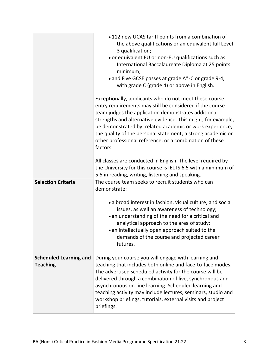| <b>Selection Criteria</b>                        | • 112 new UCAS tariff points from a combination of<br>the above qualifications or an equivalent full Level<br>3 qualification;<br>• or equivalent EU or non-EU qualifications such as<br>International Baccalaureate Diploma at 25 points<br>minimum;<br>• and Five GCSE passes at grade A*-C or grade 9-4,<br>with grade C (grade 4) or above in English.<br>Exceptionally, applicants who do not meet these course<br>entry requirements may still be considered if the course<br>team judges the application demonstrates additional<br>strengths and alternative evidence. This might, for example,<br>be demonstrated by: related academic or work experience;<br>the quality of the personal statement; a strong academic or<br>other professional reference; or a combination of these<br>factors.<br>All classes are conducted in English. The level required by<br>the University for this course is IELTS 6.5 with a minimum of<br>5.5 in reading, writing, listening and speaking.<br>The course team seeks to recruit students who can<br>demonstrate:<br>• a broad interest in fashion, visual culture, and social |
|--------------------------------------------------|---------------------------------------------------------------------------------------------------------------------------------------------------------------------------------------------------------------------------------------------------------------------------------------------------------------------------------------------------------------------------------------------------------------------------------------------------------------------------------------------------------------------------------------------------------------------------------------------------------------------------------------------------------------------------------------------------------------------------------------------------------------------------------------------------------------------------------------------------------------------------------------------------------------------------------------------------------------------------------------------------------------------------------------------------------------------------------------------------------------------------------|
|                                                  | issues, as well an awareness of technology;<br>• an understanding of the need for a critical and<br>analytical approach to the area of study;<br>• an intellectually open approach suited to the<br>demands of the course and projected career<br>futures.                                                                                                                                                                                                                                                                                                                                                                                                                                                                                                                                                                                                                                                                                                                                                                                                                                                                      |
| <b>Scheduled Learning and</b><br><b>Teaching</b> | During your course you will engage with learning and<br>teaching that includes both online and face-to-face modes.<br>The advertised scheduled activity for the course will be<br>delivered through a combination of live, synchronous and<br>asynchronous on-line learning. Scheduled learning and<br>teaching activity may include lectures, seminars, studio and<br>workshop briefings, tutorials, external visits and project<br>briefings.                                                                                                                                                                                                                                                                                                                                                                                                                                                                                                                                                                                                                                                                                 |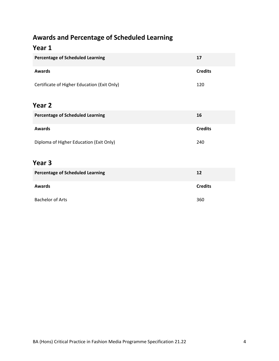# **Awards and Percentage of Scheduled Learning**

#### **Year 1**

| <b>Percentage of Scheduled Learning</b>     | 17             |
|---------------------------------------------|----------------|
| <b>Awards</b>                               | <b>Credits</b> |
| Certificate of Higher Education (Exit Only) | 120            |
| Year 2                                      |                |
| <b>Percentage of Scheduled Learning</b>     | 16             |
| <b>Awards</b>                               | <b>Credits</b> |
| Diploma of Higher Education (Exit Only)     | 240            |

#### **Year 3**

| <b>Percentage of Scheduled Learning</b> | 12             |  |  |  |  |
|-----------------------------------------|----------------|--|--|--|--|
| <b>Awards</b>                           | <b>Credits</b> |  |  |  |  |
| <b>Bachelor of Arts</b>                 | 360            |  |  |  |  |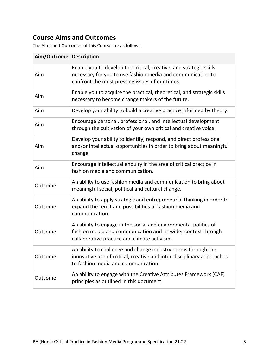# **Course Aims and Outcomes**

The Aims and Outcomes of this Course are as follows:

| Aim/Outcome Description |                                                                                                                                                                                      |
|-------------------------|--------------------------------------------------------------------------------------------------------------------------------------------------------------------------------------|
| Aim                     | Enable you to develop the critical, creative, and strategic skills<br>necessary for you to use fashion media and communication to<br>confront the most pressing issues of our times. |
| Aim                     | Enable you to acquire the practical, theoretical, and strategic skills<br>necessary to become change makers of the future.                                                           |
| Aim                     | Develop your ability to build a creative practice informed by theory.                                                                                                                |
| Aim                     | Encourage personal, professional, and intellectual development<br>through the cultivation of your own critical and creative voice.                                                   |
| Aim                     | Develop your ability to identify, respond, and direct professional<br>and/or intellectual opportunities in order to bring about meaningful<br>change.                                |
| Aim                     | Encourage intellectual enquiry in the area of critical practice in<br>fashion media and communication.                                                                               |
| Outcome                 | An ability to use fashion media and communication to bring about<br>meaningful social, political and cultural change.                                                                |
| Outcome                 | An ability to apply strategic and entrepreneurial thinking in order to<br>expand the remit and possibilities of fashion media and<br>communication.                                  |
| Outcome                 | An ability to engage in the social and environmental politics of<br>fashion media and communication and its wider context through<br>collaborative practice and climate activism.    |
| Outcome                 | An ability to challenge and change industry norms through the<br>innovative use of critical, creative and inter-disciplinary approaches<br>to fashion media and communication.       |
| Outcome                 | An ability to engage with the Creative Attributes Framework (CAF)<br>principles as outlined in this document.                                                                        |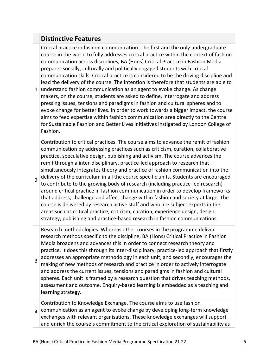#### **Distinctive Features**

1 understand fashion communication as an agent to evoke change. As change Critical practice in fashion communication. The first and the only undergraduate course in the world to fully addresses critical practice within the context of fashion communication across disciplines, BA (Hons) Critical Practice in Fashion Media prepares socially, culturally and politically engaged students with critical communication skills. Critical practice is considered to be the driving discipline and lead the delivery of the course. The intention is therefore that students are able to makers, on the course, students are asked to define, interrogate and address pressing issues, tensions and paradigms in fashion and cultural spheres and to evoke change for better lives. In order to work towards a bigger impact, the course aims to feed expertise within fashion communication area directly to the Centre for Sustainable Fashion and Better Lives initiatives instigated by London College of Fashion. 2 Contribution to critical practices. The course aims to advance the remit of fashion communication by addressing practices such as criticism, curation, collaborative practice, speculative design, publishing and activism. The course advances the remit through a inter-disciplinary, practice-led approach to research that simultaneously integrates theory and practice of fashion communication into the delivery of the curriculum in all the course specific units. Students are encouraged to contribute to the growing body of research (including practice-led research) around critical practice in fashion communication in order to develop frameworks that address, challenge and affect change within fashion and society at large. The course is delivered by research active staff and who are subject experts in the areas such as critical practice, criticism, curation, experience design, design strategy, publishing and practice‐based research in fashion communications. 3 Research methodologies. Whereas other courses in the programme deliver research methods specific to the discipline, BA (Hons) Critical Practice in Fashion Media broadens and advances this in order to connect research theory and practice. It does this through its inter-disciplinary, practice-led approach that firstly addresses an appropriate methodology in each unit, and secondly, encourages the making of new methods of research and practice in order to actively interrogate and address the current issues, tensions and paradigms in fashion and cultural spheres. Each unit is framed by a research question that drives teaching methods, assessment and outcome. Enquiry‐based learning is embedded as a teaching and learning strategy.  $_4$  communication as an agent to evoke change by developing long-term knowledge Contribution to Knowledge Exchange. The course aims to use fashion exchanges with relevant organisations. These knowledge exchanges will support

and enrich the course's commitment to the critical exploration of sustainability as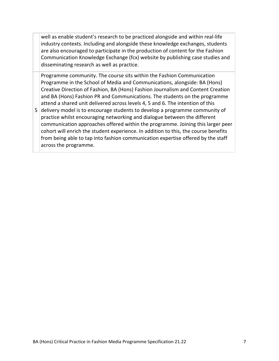well as enable student's research to be practiced alongside and within real-life industry contexts. Including and alongside these knowledge exchanges, students are also encouraged to participate in the production of content for the Fashion Communication Knowledge Exchange (fcx) website by publishing case studies and disseminating research as well as practice.

5 delivery model is to encourage students to develop a programme community of Programme community. The course sits within the Fashion Communication Programme in the School of Media and Communications, alongside: BA (Hons) Creative Direction of Fashion, BA (Hons) Fashion Journalism and Content Creation and BA (Hons) Fashion PR and Communications. The students on the programme attend a shared unit delivered across levels 4, 5 and 6. The intention of this practice whilst encouraging networking and dialogue between the different communication approaches offered within the programme. Joining this larger peer cohort will enrich the student experience. In addition to this, the course benefits from being able to tap into fashion communication expertise offered by the staff across the programme.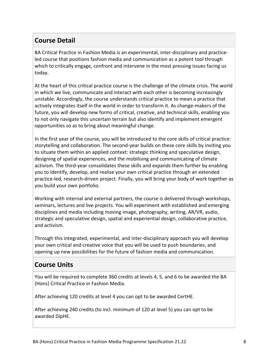### **Course Detail**

BA Critical Practice in Fashion Media is an experimental, inter-disciplinary and practiceled course that positions fashion media and communication as a potent tool through which to critically engage, confront and intervene in the most pressing issues facing us today.

At the heart of this critical practice course is the challenge of the climate crisis. The world in which we live, communicate and interact with each other is becoming increasingly unstable. Accordingly, the course understands critical practice to mean a practice that actively integrates itself in the world in order to transform it. As change-makers of the future, you will develop new forms of critical, creative, and technical skills, enabling you to not only navigate this uncertain terrain but also identify and implement emergent opportunities so as to bring about meaningful change.

In the first year of the course, you will be introduced to the core skills of critical practice: storytelling and collaboration. The second-year builds on these core skills by inviting you to situate them within an applied context: strategic thinking and speculative design, designing of spatial experiences, and the mobilising and communicating of climate activism. The third-year consolidates these skills and expands them further by enabling you to identify, develop, and realise your own critical practice through an extended practice-led, research-driven project. Finally, you will bring your body of work together as you build your own portfolio.

Working with internal and external partners, the course is delivered through workshops, seminars, lectures and live projects. You will experiment with established and emerging disciplines and media including moving image, photography, writing, AR/VR, audio, strategic and speculative design, spatial and experiential design, collaborative practice, and activism.

Through this integrated, experimental, and inter-disciplinary approach you will develop your own critical and creative voice that you will be used to push boundaries, and opening up new possibilities for the future of fashion media and communication.

## **Course Units**

You will be required to complete 360 credits at levels 4, 5, and 6 to be awarded the BA (Hons) Critical Practice in Fashion Media.

After achieving 120 credits at level 4 you can opt to be awarded CertHE.

After achieving 240 credits (to incl. minimum of 120 at level 5) you can opt to be awarded DipHE.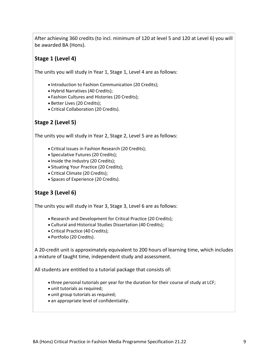After achieving 360 credits (to incl. minimum of 120 at level 5 and 120 at Level 6) you will be awarded BA (Hons).

#### **Stage 1 (Level 4)**

The units you will study in Year 1, Stage 1, Level 4 are as follows:

- Introduction to Fashion Communication (20 Credits);
- Hybrid Narratives (40 Credits);
- Fashion Cultures and Histories (20 Credits);
- Better Lives (20 Credits);
- Critical Collaboration (20 Credits).

#### **Stage 2 (Level 5)**

The units you will study in Year 2, Stage 2, Level 5 are as follows:

- Critical Issues in Fashion Research (20 Credits);
- Speculative Futures (20 Credits);
- Inside the Industry (20 Credits);
- Situating Your Practice (20 Credits);
- Critical Climate (20 Credits);
- Spaces of Experience (20 Credits).

#### **Stage 3 (Level 6)**

The units you will study in Year 3, Stage 3, Level 6 are as follows:

- Research and Development for Critical Practice (20 Credits);
- Cultural and Historical Studies Dissertation (40 Credits);
- Critical Practice (40 Credits);
- Portfolio (20 Credits).

A 20‐credit unit is approximately equivalent to 200 hours of learning time, which includes a mixture of taught time, independent study and assessment.

All students are entitled to a tutorial package that consists of:

- three personal tutorials per year for the duration for their course of study at LCF;
- unit tutorials as required;
- unit group tutorials as required;
- an appropriate level of confidentiality.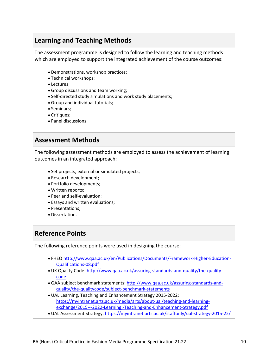## **Learning and Teaching Methods**

The assessment programme is designed to follow the learning and teaching methods which are employed to support the integrated achievement of the course outcomes:

- Demonstrations, workshop practices;
- Technical workshops;
- Lectures:
- Group discussions and team working;
- Self‐directed study simulations and work study placements;
- Group and individual tutorials;
- Seminars:
- Critiques;
- Panel discussions

#### **Assessment Methods**

The following assessment methods are employed to assess the achievement of learning outcomes in an integrated approach:

- Set projects, external or simulated projects;
- Research development;
- Portfolio developments;
- Written reports;
- Peer and self‐evaluation;
- Essays and written evaluations;
- Presentations:
- Dissertation.

#### **Reference Points**

The following reference points were used in designing the course:

- FHEQ [http://www.qaa.ac.uk/en/Publications/Documents/Framework‐Higher‐Education‐](http://www.qaa.ac.uk/en/Publications/Documents/Framework‐Higher‐Education‐Qualifications‐08.pdf) [Qualifications‐08.pdf](http://www.qaa.ac.uk/en/Publications/Documents/Framework‐Higher‐Education‐Qualifications‐08.pdf)
- UK Quality Code: http://www.qaa.ac.uk/assuring-standards-and-quality/the-quality[code](http://www.qaa.ac.uk/assuring‐standards‐and‐quality/the‐quality‐code)
- QAA subject benchmark statements: http://www.qaa.ac.uk/assuring-standards-and[quality/the‐qualitycode/subject‐benchmark‐statements](http://www.qaa.ac.uk/assuring‐standards‐and‐quality/the‐qualitycode/subject‐benchmark‐statements)
- UAL Learning, Teaching and Enhancement Strategy 2015‐2022: https://myintranet.arts.ac.uk/media/arts/about-ual/teaching-and-learningexchange/2015---2022-Learning,-Teaching-and-Enhancement-Strategy.pdf
- UAL Assessment Strategy: <https://myintranet.arts.ac.uk/staffonly/ual‐strategy‐2015‐22/>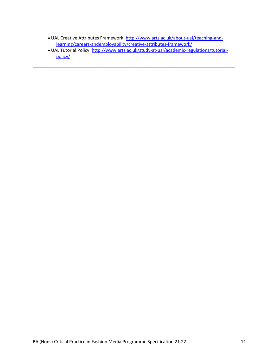- UAL Creative Attributes Framework: http://www.arts.ac.uk/about-ual/teaching-andlearning/careers-andemployability/creative-attributes-framework/
- UAL Tutorial Policy: http[://www.arts.ac.uk/study‐at‐ual/academic‐regulations/tutorial‐](http://www.arts.ac.uk/study‐at‐ual/academic‐regulations/tutorial‐policy/) [policy/](http://www.arts.ac.uk/study‐at‐ual/academic‐regulations/tutorial‐policy/)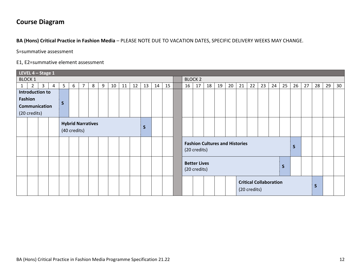# **Course Diagram**

**BA (Hons) Critical Practice in Fashion Media** – PLEASE NOTE DUE TO VACATION DATES, SPECIFIC DELIVERY WEEKS MAY CHANGE.

S=summative assessment

E1, E2=summative element assessment

|               | LEVEL $4 -$ Stage 1 |                 |   |                                                                                     |                               |  |  |  |  |  |  |  |    |    |    |                               |                     |    |    |                                       |    |    |    |    |              |    |    |   |  |  |
|---------------|---------------------|-----------------|---|-------------------------------------------------------------------------------------|-------------------------------|--|--|--|--|--|--|--|----|----|----|-------------------------------|---------------------|----|----|---------------------------------------|----|----|----|----|--------------|----|----|---|--|--|
|               | <b>BLOCK 1</b>      |                 |   |                                                                                     |                               |  |  |  |  |  |  |  |    |    |    |                               | <b>BLOCK 2</b>      |    |    |                                       |    |    |    |    |              |    |    |   |  |  |
| $\mathbf{1}$  | $\overline{2}$      | 3               | 4 | 11<br>15<br>5 <sup>1</sup><br>$\overline{7}$<br>8<br>9<br>10<br>12<br>13<br>6<br>14 |                               |  |  |  |  |  |  |  | 16 | 17 | 18 | 19                            | 20                  | 21 | 22 | 23                                    | 24 | 25 | 26 | 27 | 28           | 29 | 30 |   |  |  |
|               |                     | Introduction to |   |                                                                                     |                               |  |  |  |  |  |  |  |    |    |    |                               |                     |    |    |                                       |    |    |    |    |              |    |    |   |  |  |
|               | <b>Fashion</b>      |                 |   |                                                                                     |                               |  |  |  |  |  |  |  |    |    |    |                               |                     |    |    |                                       |    |    |    |    |              |    |    |   |  |  |
| Communication |                     |                 |   | S                                                                                   |                               |  |  |  |  |  |  |  |    |    |    |                               |                     |    |    |                                       |    |    |    |    |              |    |    |   |  |  |
|               | (20 credits)        |                 |   |                                                                                     |                               |  |  |  |  |  |  |  |    |    |    |                               |                     |    |    |                                       |    |    |    |    |              |    |    |   |  |  |
|               |                     |                 |   |                                                                                     |                               |  |  |  |  |  |  |  |    |    |    |                               |                     |    |    |                                       |    |    |    |    |              |    |    |   |  |  |
|               |                     |                 |   |                                                                                     | <b>Hybrid Narratives</b><br>S |  |  |  |  |  |  |  |    |    |    |                               |                     |    |    |                                       |    |    |    |    |              |    |    |   |  |  |
|               |                     |                 |   |                                                                                     | (40 credits)                  |  |  |  |  |  |  |  |    |    |    |                               |                     |    |    |                                       |    |    |    |    |              |    |    |   |  |  |
|               |                     |                 |   |                                                                                     |                               |  |  |  |  |  |  |  |    |    |    |                               |                     |    |    |                                       |    |    |    |    |              |    |    |   |  |  |
|               |                     |                 |   |                                                                                     |                               |  |  |  |  |  |  |  |    |    |    |                               |                     |    |    | <b>Fashion Cultures and Histories</b> |    |    |    |    |              | S  |    |   |  |  |
|               |                     |                 |   |                                                                                     |                               |  |  |  |  |  |  |  |    |    |    |                               | (20 credits)        |    |    |                                       |    |    |    |    |              |    |    |   |  |  |
|               |                     |                 |   |                                                                                     |                               |  |  |  |  |  |  |  |    |    |    |                               |                     |    |    |                                       |    |    |    |    |              |    |    |   |  |  |
|               |                     |                 |   |                                                                                     |                               |  |  |  |  |  |  |  |    |    |    |                               | <b>Better Lives</b> |    |    |                                       |    |    |    |    |              |    |    |   |  |  |
|               |                     |                 |   |                                                                                     |                               |  |  |  |  |  |  |  |    |    |    |                               | (20 credits)        |    |    |                                       |    |    |    |    | $\mathsf{s}$ |    |    |   |  |  |
|               |                     |                 |   |                                                                                     |                               |  |  |  |  |  |  |  |    |    |    |                               |                     |    |    |                                       |    |    |    |    |              |    |    |   |  |  |
|               |                     |                 |   |                                                                                     |                               |  |  |  |  |  |  |  |    |    |    | <b>Critical Collaboration</b> |                     |    |    |                                       |    |    |    |    |              |    |    |   |  |  |
|               |                     |                 |   |                                                                                     |                               |  |  |  |  |  |  |  |    |    |    |                               |                     |    |    |                                       |    |    |    |    |              |    |    | S |  |  |
|               |                     |                 |   |                                                                                     |                               |  |  |  |  |  |  |  |    |    |    | (20 credits)                  |                     |    |    |                                       |    |    |    |    |              |    |    |   |  |  |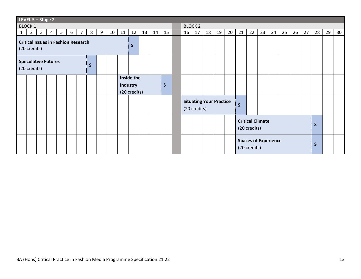| LEVEL $5 -$ Stage 2                                        |                |              |                |                |   |                |   |   |                 |    |                                               |    |                |              |  |                                                |    |    |    |    |              |                                             |    |              |    |    |    |              |    |                 |
|------------------------------------------------------------|----------------|--------------|----------------|----------------|---|----------------|---|---|-----------------|----|-----------------------------------------------|----|----------------|--------------|--|------------------------------------------------|----|----|----|----|--------------|---------------------------------------------|----|--------------|----|----|----|--------------|----|-----------------|
| <b>BLOCK 1</b>                                             |                |              |                |                |   |                |   |   |                 |    |                                               |    | <b>BLOCK 2</b> |              |  |                                                |    |    |    |    |              |                                             |    |              |    |    |    |              |    |                 |
| $\mathbf{1}$                                               | $\overline{2}$ | $\mathbf{3}$ | $\overline{4}$ | 5 <sub>1</sub> | 6 | $\overline{7}$ | 8 | 9 | 10 <sup>°</sup> | 11 | 12                                            | 13 | 14             | 15           |  | 16                                             | 17 | 18 | 19 | 20 | 21           | 22                                          | 23 | 24           | 25 | 26 | 27 | 28           | 29 | 30 <sup>°</sup> |
| <b>Critical Issues in Fashion Research</b><br>(20 credits) |                |              |                |                |   |                |   |   | $\mathsf{S}$    |    |                                               |    |                |              |  |                                                |    |    |    |    |              |                                             |    |              |    |    |    |              |    |                 |
| <b>Speculative Futures</b><br>S<br>(20 credits)            |                |              |                |                |   |                |   |   |                 |    |                                               |    |                |              |  |                                                |    |    |    |    |              |                                             |    |              |    |    |    |              |    |                 |
|                                                            |                |              |                |                |   |                |   |   |                 |    | Inside the<br><b>Industry</b><br>(20 credits) |    |                | $\mathsf{S}$ |  |                                                |    |    |    |    |              |                                             |    |              |    |    |    |              |    |                 |
|                                                            |                |              |                |                |   |                |   |   |                 |    |                                               |    |                |              |  | <b>Situating Your Practice</b><br>(20 credits) |    |    |    |    | $\mathsf{S}$ |                                             |    |              |    |    |    |              |    |                 |
|                                                            |                |              |                |                |   |                |   |   |                 |    |                                               |    |                |              |  |                                                |    |    |    |    |              | <b>Critical Climate</b><br>(20 credits)     |    |              |    |    |    | $\mathsf{S}$ |    |                 |
|                                                            |                |              |                |                |   |                |   |   |                 |    |                                               |    |                |              |  |                                                |    |    |    |    |              | <b>Spaces of Experience</b><br>(20 credits) |    | $\mathsf{S}$ |    |    |    |              |    |                 |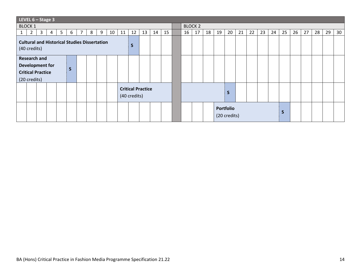| LEVEL $6 -$ Stage 3                                                                                |                                                                                  |    |  |  |  |  |  |  |  |  |  |  |
|----------------------------------------------------------------------------------------------------|----------------------------------------------------------------------------------|----|--|--|--|--|--|--|--|--|--|--|
| <b>BLOCK 1</b>                                                                                     | <b>BLOCK 2</b>                                                                   |    |  |  |  |  |  |  |  |  |  |  |
| 15<br>13<br>5 <sub>1</sub><br>$\overline{7}$<br>10<br>12<br>3<br>6<br>8<br>9<br>11<br>2<br>14<br>4 | 26<br>27<br>17<br>20<br>21<br>22<br>23<br>24<br>25<br>28<br>29<br>16<br>18<br>19 | 30 |  |  |  |  |  |  |  |  |  |  |
| <b>Cultural and Historical Studies Dissertation</b><br>S<br>(40 credits)                           |                                                                                  |    |  |  |  |  |  |  |  |  |  |  |
| <b>Research and</b><br><b>Development for</b><br>S<br><b>Critical Practice</b><br>(20 credits)     |                                                                                  |    |  |  |  |  |  |  |  |  |  |  |
| <b>Critical Practice</b><br>(40 credits)                                                           | S                                                                                |    |  |  |  |  |  |  |  |  |  |  |
|                                                                                                    | Portfolio<br>S<br>(20 credits)                                                   |    |  |  |  |  |  |  |  |  |  |  |